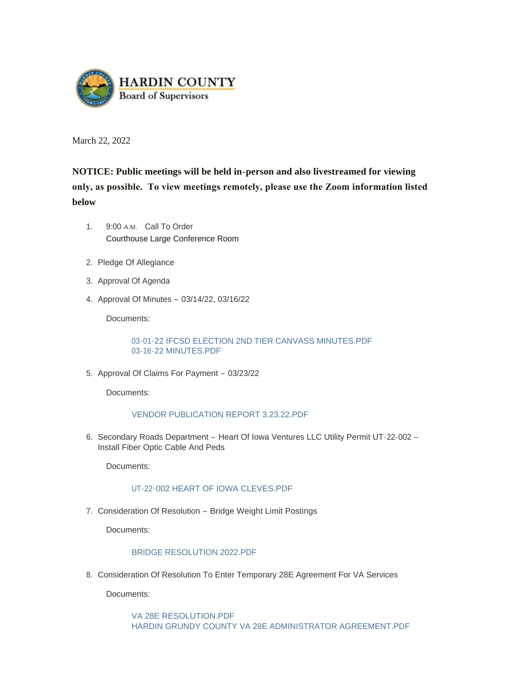

March 22, 2022

# **NOTICE: Public meetings will be held in-person and also livestreamed for viewing only, as possible. To view meetings remotely, please use the Zoom information listed below**

- 1. 9:00 A.M. Call To Order Courthouse Large Conference Room
- 2. Pledge Of Allegiance
- 3. Approval Of Agenda
- 4. Approval Of Minutes 03/14/22, 03/16/22

Documents:

[03-01-22 IFCSD ELECTION 2ND TIER CANVASS MINUTES.PDF](https://www.hardincountyia.gov/AgendaCenter/ViewFile/Item/8608?fileID=6964) [03-16-22 MINUTES.PDF](https://www.hardincountyia.gov/AgendaCenter/ViewFile/Item/8608?fileID=6965)

5. Approval Of Claims For Payment - 03/23/22

Documents:

### [VENDOR PUBLICATION REPORT 3.23.22.PDF](https://www.hardincountyia.gov/AgendaCenter/ViewFile/Item/8609?fileID=6966)

6. Secondary Roads Department - Heart Of Iowa Ventures LLC Utility Permit UT-22-002 -Install Fiber Optic Cable And Peds

Documents:

### [UT-22-002 HEART OF IOWA CLEVES.PDF](https://www.hardincountyia.gov/AgendaCenter/ViewFile/Item/8610?fileID=6967)

7. Consideration Of Resolution - Bridge Weight Limit Postings

Documents:

### [BRIDGE RESOLUTION 2022.PDF](https://www.hardincountyia.gov/AgendaCenter/ViewFile/Item/8611?fileID=6968)

8. Consideration Of Resolution To Enter Temporary 28E Agreement For VA Services

Documents:

[VA 28E RESOLUTION.PDF](https://www.hardincountyia.gov/AgendaCenter/ViewFile/Item/8612?fileID=6972) [HARDIN GRUNDY COUNTY VA 28E ADMINISTRATOR AGREEMENT.PDF](https://www.hardincountyia.gov/AgendaCenter/ViewFile/Item/8612?fileID=6973)